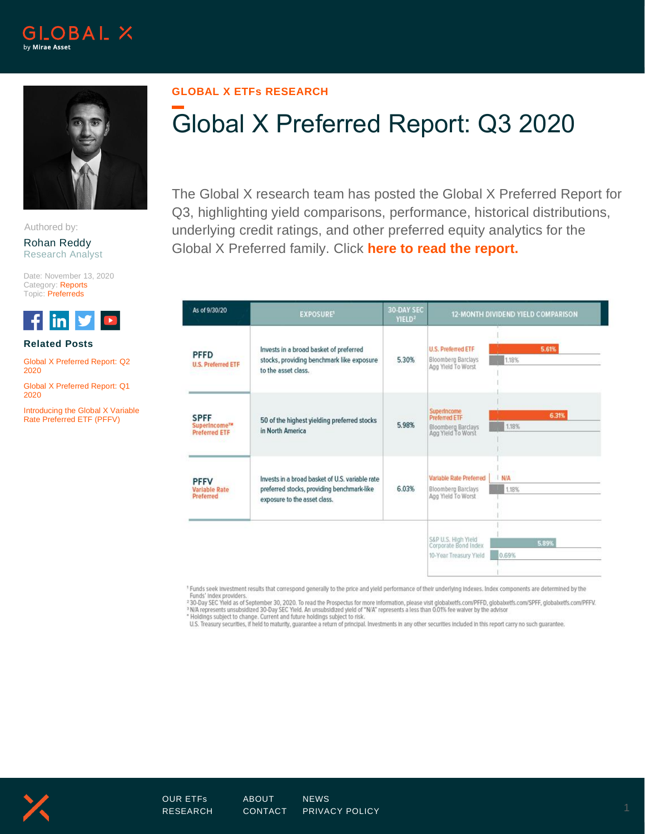



Authored by:

Rohan Reddy Research Analyst

Date: November 13, 2020 Category: Reports Topic: Preferreds



## **Related Posts**

[Global X Preferred Report: Q2](https://www.globalxetfs.com/global-x-preferred-report-q2-2020/) [2020](https://www.globalxetfs.com/global-x-preferred-report-q2-2020/)

[Global X Preferred Report: Q1](https://www.globalxetfs.com/global-x-preferred-report-q1-2020/)  [2020](https://www.globalxetfs.com/global-x-preferred-report-q1-2020/)

[Introducing the Global X Variable](https://www.globalxetfs.com/introducing-the-global-x-variable-rate-preferred-etf-pffv/)  [Rate Preferred ETF \(PFFV\)](https://www.globalxetfs.com/introducing-the-global-x-variable-rate-preferred-etf-pffv/)

## **GLOBAL X ETFs RESEARCH**

## Global X Preferred Report: Q3 2020

The Global X research team has posted the Global X Preferred Report for Q3, highlighting yield comparisons, performance, historical distributions, underlying credit ratings, and other preferred equity analytics for the Global X Preferred family. Click **[here to read the report.](https://www.globalxetfs.com/content/files/Preferred-Report-2020-Q3.pdf)**

| As of 9/30/20                                                    | <b>EXPOSURE'</b>                                                                                                              | <b>30-DAY SEC</b><br>YIELD <sup>2</sup> | 12-MONTH DIVIDEND YIELD COMPARISON                                                                |  |  |  |
|------------------------------------------------------------------|-------------------------------------------------------------------------------------------------------------------------------|-----------------------------------------|---------------------------------------------------------------------------------------------------|--|--|--|
| <b>PFFD</b><br><b>U.S. Preferred ETF</b>                         | Invests in a broad basket of preferred<br>stocks, providing benchmark like exposure<br>to the asset class.                    | 5.30%                                   | 5.61%<br>U.S. Preferred ETF<br><b>Bloomberg Barclays</b><br>1.18%<br>Agg Yield To Worst           |  |  |  |
| <b>SPFF</b><br>SuperIncome <sup>TH</sup><br><b>Preferred ETF</b> | 50 of the highest yielding preferred stocks<br>in North America                                                               | 5.98%                                   | Superincome<br>6.31%<br><b>Preferred ETF</b><br>1.18%<br>Bloomberg Barclays<br>Agg Yield To Worst |  |  |  |
| <b>PFFV</b><br>Variable Rate<br>Preferred                        | Invests in a broad basket of U.S. variable rate<br>preferred stocks, providing benchmark-like<br>exposure to the asset class. | 6.03%                                   | Variable Rate Preferred<br>I N/A<br>Bloomberg Barclays<br>1.18%<br>Agg Yield To Worst             |  |  |  |
|                                                                  |                                                                                                                               |                                         | S&P U.S. High Yield<br>Corporate Bond Index<br>5.89%<br>0.69%<br>10-Year Treasury Yield           |  |  |  |

<sup>1</sup> Funds seek Investment results that correspond generally to the price and yield performance of their underlying indexes. Index components are determined by the Funds' Index providers

The Subsect Produces of September 30, 2020. To read the Prospectus for more information, please visit globalxetfs.com/PFFD, globalxetfs.com/SPFF, globalxetfs.com/PFFV.<br><sup>3</sup> N/A represents unsubsidized 30-Day SEC Yield. An u

U.S. Treasury securities, if held to maturity, guarantee a return of principal. Investments in any other securities included in this report carry no such guarantee.

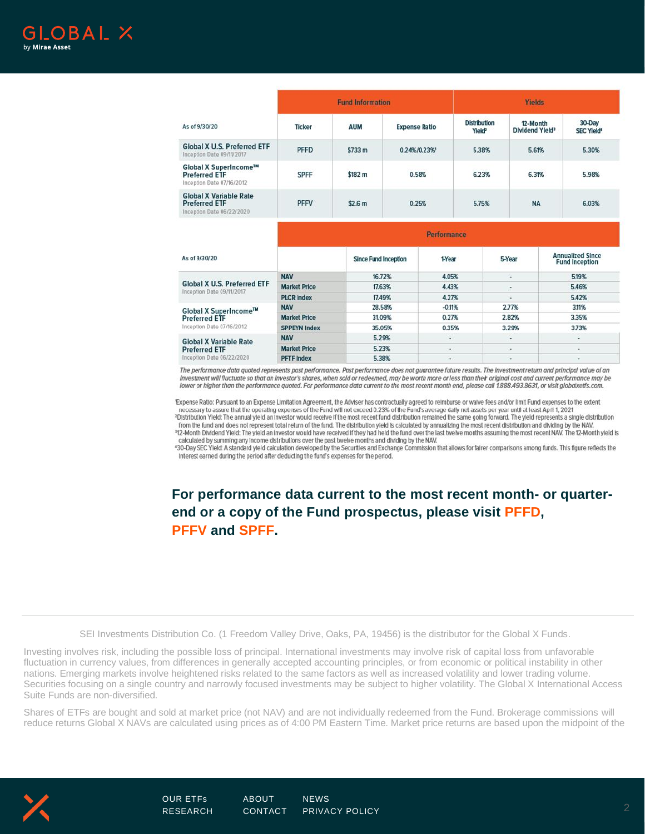

|                                                                                    | <b>Fund Information</b> |                             |                      |                    | <b>Yields</b>                             |                                                            |                                  |  |
|------------------------------------------------------------------------------------|-------------------------|-----------------------------|----------------------|--------------------|-------------------------------------------|------------------------------------------------------------|----------------------------------|--|
| As of 9/30/20                                                                      | <b>Ticker</b>           | <b>AUM</b>                  | <b>Expense Ratio</b> |                    | <b>Distribution</b><br>Yield <sup>2</sup> | 12-Month<br>Dividend Yield <sup>3</sup>                    | 30-Day<br>SEC Yield <sup>4</sup> |  |
| <b>Global X U.S. Preferred ETF</b><br>Inception Date 09/1V2017                     | <b>PFFD</b>             | \$733 m                     | 0.24%/0.23%          |                    | 5.38%                                     | 5.61%                                                      | 5.30%                            |  |
| Global X SuperIncome™<br><b>Preferred ETF</b><br>Inception Date 07/16/2012         | <b>SPFF</b>             | \$182 m                     | 0.58%                |                    | 6.23%<br>6.31%                            |                                                            | 5.98%                            |  |
| <b>Global X Variable Rate</b><br><b>Preferred ETF</b><br>Inception Date 06/22/2020 | <b>PFFV</b>             | \$2.6 <sub>m</sub>          | 0.25%                |                    | 5.75%                                     | <b>NA</b>                                                  | 6.03%                            |  |
|                                                                                    |                         |                             |                      | <b>Performance</b> |                                           |                                                            |                                  |  |
| As of 9/30/20                                                                      |                         | <b>Since Fund Inception</b> |                      | 1-Year             |                                           | <b>Annualized Since</b><br>5-Year<br><b>Fund Inception</b> |                                  |  |
|                                                                                    | <b>NAV</b>              | 16.72%                      |                      | 4.05%              |                                           | и                                                          | 5.19%                            |  |
| <b>Global X U.S. Preferred ETF</b><br>Inception Date 09/11/2017                    | <b>Market Price</b>     | 17.63%                      |                      | 4.43%              |                                           | $\sim$                                                     | 5.46%                            |  |
|                                                                                    | <b>PLCR Index</b>       | 17.49%                      |                      | 4.27%              |                                           | ٠                                                          | 5.42%                            |  |
| The L                                                                              | <b>NAV</b>              | 28.58%                      |                      | $-0.11%$           |                                           | 2.77%                                                      | 311%                             |  |

**Market Price** 31.09% 0.27% 2.82% 3.35% **Preferred ETF** Inception Date 07/16/2012 **SPPEYN Index** 35.05% 0.35% 3.29% 3.73% 5.29% **NAV** × ÷. ٧ **Global X Variable Rate Market Price** 5.23% ÷, ä, ×, **Preferred ETF** Inception Date 06/22/2020 **PFTF Index** 5.38%

The performance data quoted represents past performance. Past performance does not guarantee future results. The investment return and principal value of an investment will fluctuate so that an investor's shares, when sold or redeemed, may be worth more or less than their original cost and current performance may be lower or higher than the performance quoted. For performance data current to the most recent month end, please call 1.888.493.8631, or visit globalxetfs.com.

Expense Ratio: Pursuant to an Expense Limitation Agreement, the Adviser has contractually agreed to reimburse or walve fees and/or limit Fund expenses to the extent<br>necessary to assure that the operating expenses of the Fu from the fund and does not represent total return of the fund. The distribution yield is calculated by annualizing the most recent distribution and dividing by the NAV. 312-Month Dividend Yield: The yield an investor would have received if they had held the fund over the last twelve months assuming the most recent NAV. The 12-Month yield is calculated by summing any income distributions over the past twelve months and dividing by the NAV.

430-Day SEC Yield: A standard yield calculation developed by the Securities and Exchange Commission that allows for fairer comparisons among funds. This figure reflects the Interest earned during the period after deducting the fund's expenses for the period.

**For performance data current to the most recent month- or quarterend or a copy of the Fund prospectus, please visit [PFFD,](https://www.globalxfunds.com/funds/pffd/) [PFFV](https://www.globalxetfs.com/funds/pffv/) and [SPFF.](https://www.globalxfunds.com/funds/spff/)**

SEI Investments Distribution Co. (1 Freedom Valley Drive, Oaks, PA, 19456) is the distributor for the Global X Funds.

Investing involves risk, including the possible loss of principal. International investments may involve risk of capital loss from unfavorable fluctuation in currency values, from differences in generally accepted accounting principles, or from economic or political instability in other nations. Emerging markets involve heightened risks related to the same factors as well as increased volatility and lower trading volume. Securities focusing on a single country and narrowly focused investments may be subject to higher volatility. The Global X International Access Suite Funds are non-diversified.

Shares of ETFs are bought and sold at market price (not NAV) and are not individually redeemed from the Fund. Brokerage commissions will reduce returns Global X NAVs are calculated using prices as of 4:00 PM Eastern Time. Market price returns are based upon the midpoint of the



Global X SuperIncome™